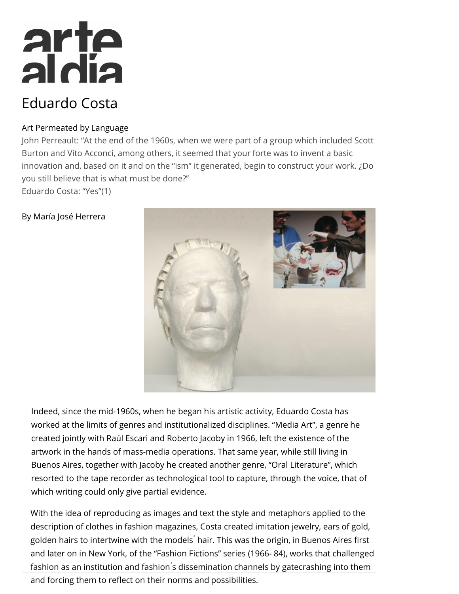# arte<br>aldia

# Eduardo Costa

### Art Permeated by Language

John Perreault: "At the end of the 1960s, when we were part of a group which included Scott Burton and Vito Acconci, among others, it seemed that your forte was to invent a basic innovation and, based on it and on the "ism" it generated, begin to construct your work. ¿Do you still believe that is what must be done?" Eduardo Costa: "Yes"(1)

## By María José Herrera



Indeed, since the mid-1960s, when he began his artistic activity, Eduardo Costa has worked at the limits of genres and institutionalized disciplines. "Media Art", a genre he created jointly with Raúl Escari and Roberto Jacoby in 1966, left the existence of the artwork in the hands of mass-media operations. That same year, while still living in Buenos Aires, together with Jacoby he created another genre, "Oral Literature", which resorted to the tape recorder as technological tool to capture, through the voice, that of which writing could only give partial evidence.

With the idea of reproducing as images and text the style and metaphors applied to the description of clothes in fashion magazines, Costa created imitation jewelry, ears of gold, golden hairs to intertwine with the models hair. This was the origin, in Buenos Aires first and later on in New York, of the "Fashion Fictions" series (1966- 84), works that challenged fashion as an institution and fashion's dissemination channels by gatecrashing into them

and forcing them to reflect on their norms and possibilities.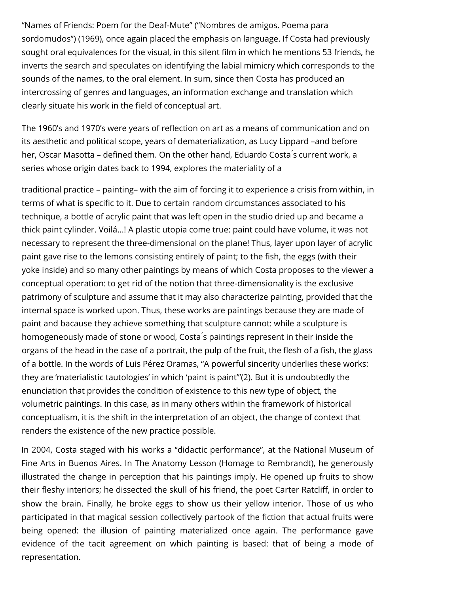"Names of Friends: Poem for the Deaf-Mute" ("Nombres de amigos. Poema para sordomudos") (1969), once again placed the emphasis on language. If Costa had previously sought oral equivalences for the visual, in this silent film in which he mentions 53 friends, he inverts the search and speculates on identifying the labial mimicry which corresponds to the sounds of the names, to the oral element. In sum, since then Costa has produced an intercrossing of genres and languages, an information exchange and translation which clearly situate his work in the field of conceptual art.

The 1960's and 1970's were years of reflection on art as a means of communication and on its aesthetic and political scope, years of dematerialization, as Lucy Lippard –and before her, Oscar Masotta – defined them. On the other hand, Eduardo Costa's current work, a series whose origin dates back to 1994, explores the materiality of a

traditional practice – painting– with the aim of forcing it to experience a crisis from within, in terms of what is specific to it. Due to certain random circumstances associated to his technique, a bottle of acrylic paint that was left open in the studio dried up and became a thick paint cylinder. Voilá...! A plastic utopia come true: paint could have volume, it was not necessary to represent the three-dimensional on the plane! Thus, layer upon layer of acrylic paint gave rise to the lemons consisting entirely of paint; to the fish, the eggs (with their yoke inside) and so many other paintings by means of which Costa proposes to the viewer a conceptual operation: to get rid of the notion that three-dimensionality is the exclusive patrimony of sculpture and assume that it may also characterize painting, provided that the internal space is worked upon. Thus, these works are paintings because they are made of paint and bacause they achieve something that sculpture cannot: while a sculpture is homogeneously made of stone or wood, Costa ́s paintings represent in their inside the organs of the head in the case of a portrait, the pulp of the fruit, the flesh of a fish, the glass of a bottle. In the words of Luis Pérez Oramas, "A powerful sincerity underlies these works: they are 'materialistic tautologies' in which 'paint is paint'"(2). But it is undoubtedly the enunciation that provides the condition of existence to this new type of object, the volumetric paintings. In this case, as in many others within the framework of historical conceptualism, it is the shift in the interpretation of an object, the change of context that renders the existence of the new practice possible.

In 2004, Costa staged with his works a "didactic performance", at the National Museum of Fine Arts in Buenos Aires. In The Anatomy Lesson (Homage to Rembrandt), he generously illustrated the change in perception that his paintings imply. He opened up fruits to show their fleshy interiors; he dissected the skull of his friend, the poet Carter Ratcliff, in order to show the brain. Finally, he broke eggs to show us their yellow interior. Those of us who participated in that magical session collectively partook of the fiction that actual fruits were being opened: the illusion of painting materialized once again. The performance gave evidence of the tacit agreement on which painting is based: that of being a mode of representation.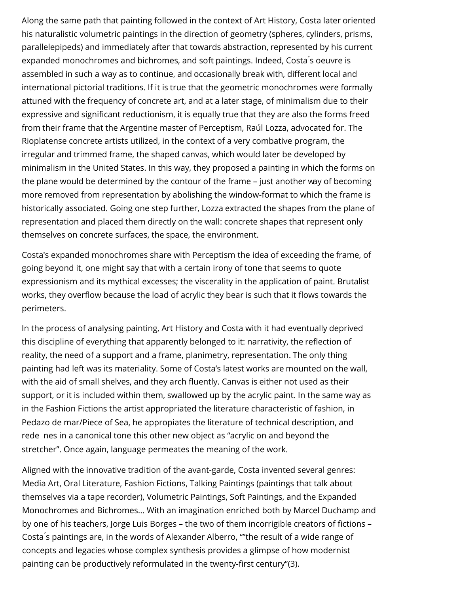Along the same path that painting followed in the context of Art History, Costa later oriented his naturalistic volumetric paintings in the direction of geometry (spheres, cylinders, prisms, parallelepipeds) and immediately after that towards abstraction, represented by his current expanded monochromes and bichromes, and soft paintings. Indeed, Costa s oeuvre is assembled in such a way as to continue, and occasionally break with, different local and international pictorial traditions. If it is true that the geometric monochromes were formally attuned with the frequency of concrete art, and at a later stage, of minimalism due to their expressive and signicant reductionism, it is equally true that they are also the forms freed from their frame that the Argentine master of Perceptism, Raúl Lozza, advocated for. The Rioplatense concrete artists utilized, in the context of a very combative program, the irregular and trimmed frame, the shaped canvas, which would later be developed by minimalism in the United States. In this way, they proposed a painting in which the forms on the plane would be determined by the contour of the frame – just another way of becoming more removed from representation by abolishing the window-format to which the frame is historically associated. Going one step further, Lozza extracted the shapes from the plane of representation and placed them directly on the wall: concrete shapes that represent only themselves on concrete surfaces, the space, the environment.

Costa's expanded monochromes share with Perceptism the idea of exceeding the frame, of going beyond it, one might say that with a certain irony of tone that seems to quote expressionism and its mythical excesses; the viscerality in the application of paint. Brutalist works, they overflow because the load of acrylic they bear is such that it flows towards the perimeters.

In the process of analysing painting, Art History and Costa with it had eventually deprived this discipline of everything that apparently belonged to it: narrativity, the reflection of reality, the need of a support and a frame, planimetry, representation. The only thing painting had left was its materiality. Some of Costa's latest works are mounted on the wall, with the aid of small shelves, and they arch fluently. Canvas is either not used as their support, or it is included within them, swallowed up by the acrylic paint. In the same way as in the Fashion Fictions the artist appropriated the literature characteristic of fashion, in Pedazo de mar/Piece of Sea, he appropiates the literature of technical description, and rede nes in a canonical tone this other new object as "acrylic on and beyond the stretcher". Once again, language permeates the meaning of the work.

Aligned with the innovative tradition of the avant-garde, Costa invented several genres: Media Art, Oral Literature, Fashion Fictions, Talking Paintings (paintings that talk about themselves via a tape recorder), Volumetric Paintings, Soft Paintings, and the Expanded Monochromes and Bichromes... With an imagination enriched both by Marcel Duchamp and by one of his teachers, Jorge Luis Borges – the two of them incorrigible creators of fictions – Costa ́s paintings are, in the words of Alexander Alberro, ""the result of a wide range of concepts and legacies whose complex synthesis provides a glimpse of how modernist painting can be productively reformulated in the twenty-first century"(3).